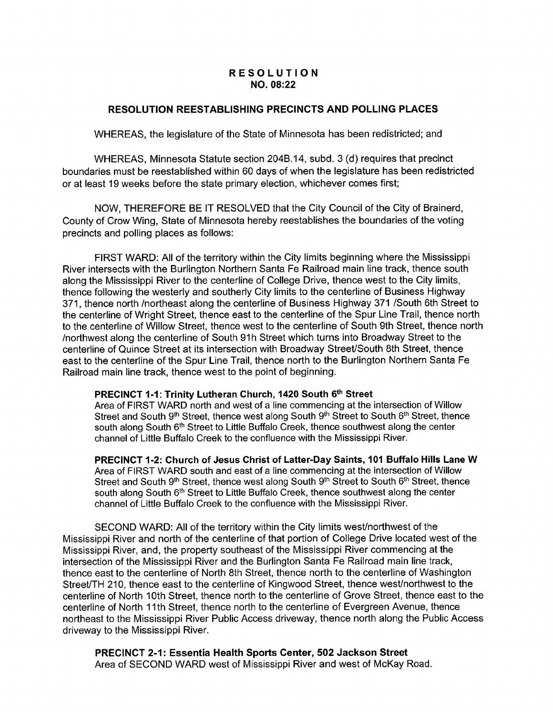## RESOLUTION NO. 08:22

## RESOLUTION REESTABLISHING PRECINCTS AND POLLING PLACES

WHEREAS, the legislature of the State of Minnesota has been redistricted; and

WHEREAS, Minnesota Statute section 204B.14, subd. 3 (d) requires that precinct boundaries must be reestablished within 60 days of when the legislature has been redistricted or at least 19 weeks before the state primary election, whichever comes first;

NOW, THEREFORE BE IT RESOLVED that the City Council of the City of Brainerd, County of Crow Wing, State of Minnesota hereby reestablishes the boundaries of the voting precincts and polling places as follows:

FIRST WARD: All of the territory within the City limits beginning where the Mississippi River intersects with the Burlington Northern Santa Fe Railroad main line track, thence south along the Mississippi River to the centerline of College Drive, thence west to the City limits, thence following the westerly and southerly City limits to the centerline of Business Highway 371, thence north / northeast along the centerline of Business Highway 371 / South 6th Street to the centerline of Wright Street, thence east to the centerline of the Spur Line Trail, thence north to the centerline of Willow Street, thence west to the centerline of South 9th Street, thence north Inorthwest along the centerline of South 91h Street which turns into Broadway Street to the centerline of Quince Street at its intersection with Broadway Street/ South 8th Street, thence east to the centerline of the Spur Line Trail, thence north to the Burlington Northern Santa Fe Railroad main line track, thence west to the point of beginning.

# PRECINCT 1-1: Trinity Lutheran Church, 1420 South 6th Street

Area of FIRST WARD north and west of a line commencing at the intersection of Willow Street and South 9<sup>th</sup> Street, thence west along South 9<sup>th</sup> Street to South 6<sup>th</sup> Street, thence south along South 6<sup>th</sup> Street to Little Buffalo Creek, thence southwest along the center channel of Little Buffalo Creek to the confluence with the Mississippi River.

PRECINCT 1-2: Church of Jesus Christ of Latter-Day Saints, 101 Buffalo Hills Lane W Area of FIRST WARD south and east of a line commencing at the intersection of Willow Street and South 9<sup>th</sup> Street, thence west along South 9<sup>th</sup> Street to South 6<sup>th</sup> Street, thence south along South 6<sup>th</sup> Street to Little Buffalo Creek, thence southwest along the center channel of Little Buffalo Creek to the confluence with the Mississippi River.

SECOND WARD: All of the territory within the City limits west/northwest of the Mississippi River and north of the centerline of that portion of College Drive located west of the Mississippi River, and, the property southeast of the Mississippi River commencing at the intersection of the Mississippi River and the Burlington Santa Fe Railroad main line track, thence east to the centerline of North 8th Street, thence north to the centerline of Washington Street/TH 210, thence east to the centerline of Kingwood Street, thence west/northwest to the centerline of North 10th Street, thence north to the centerline of Grove Street, thence east to the centerline of North 11th Street, thence north to the centerline of Evergreen Avenue, thence northeast to the Mississippi River Public Access driveway, thence north along the Public Access driveway to the Mississippi River.

PRECINCT 2-1: Essentia Health Sports Center, 502 Jackson Street Area of SECOND WARD west of Mississippi River and west of McKay Road.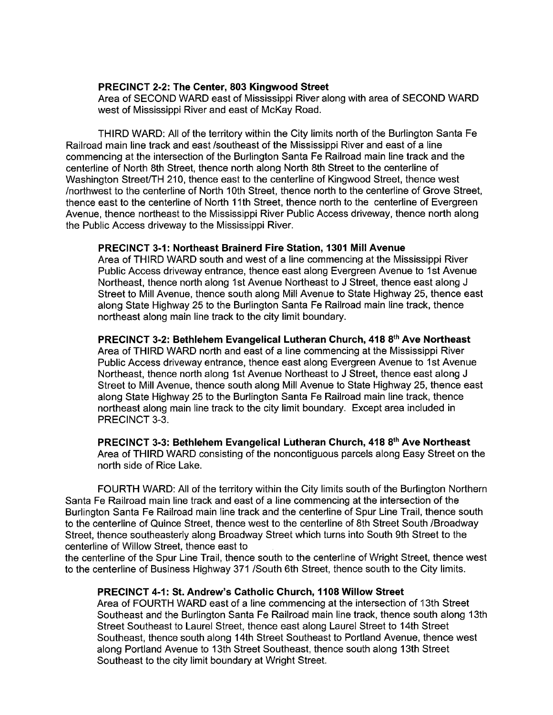### PRECINCT 2-2: The Center, 803 Kingwood Street

Area of SECOND WARD east of Mississippi River along with area of SECOND WARD west of Mississippi River and east of McKay Road.

THIRD WARD: All of the territory within the City limits north of the Burlington Santa Fe Railroad main line track and east / southeast of the Mississippi River and east of a line commencing at the intersection of the Burlington Santa Fe Railroad main line track and the centerline of North 8th Street, thence north along North 8th Street to the centerline of Washington Street/TH 210, thence east to the centerline of Kingwood Street, thence west northwest to the centerline of North 10th Street, thence north to the centerline of Grove Street, thence east to the centerline of North 11th Street, thence north to the centerline of Evergreen Avenue, thence northeast to the Mississippi River Public Access driveway, thence north along the Public Access driveway to the Mississippi River.

#### PRECINCT 3-1: Northeast Brainerd Fire Station, 1301 Mill Avenue

Area of THIRD WARD south and west of a line commencing at the Mississippi River Public Access driveway entrance, thence east along Evergreen Avenue to 1st Avenue Northeast, thence north along 1st Avenue Northeast to J Street, thence east along J Street to Mill Avenue, thence south along Mill Avenue to State Highway 25, thence east along State Highway 25 to the Burlington Santa Fe Railroad main line track, thence northeast along main line track to the city limit boundary.

#### PRECINCT 3-2: Bethlehem Evangelical Lutheran Church, 418 8<sup>th</sup> Ave Northeast

Area of THIRD WARD north and east of a line commencing at the Mississippi River Public Access driveway entrance, thence east along Evergreen Avenue to 1st Avenue Northeast, thence north along 1st Avenue Northeast to J Street, thence east along J Street to Mill Avenue, thence south along Mill Avenue to State Highway 25, thence east along State Highway 25 to the Burlington Santa Fe Railroad main line track, thence northeast along main line track to the city limit boundary. Except area included in PRECINCT 3-3.

PRECINCT 3-3: Bethlehem Evangelical Lutheran Church, 418 8<sup>th</sup> Ave Northeast Area of THIRD WARD consisting of the noncontiguous parcels along Easy Street on the north side of Rice Lake.

FOURTH WARD: All of the territory within the City limits south of the Burlington Northern Santa Fe Railroad main line track and east of a line commencing at the intersection of the Burlington Santa Fe Railroad main line track and the centerline of Spur Line Trail, thence south to the centerline of Quince Street, thence west to the centerline of 8th Street South / Broadway Street, thence southeasterly along Broadway Street which turns into South 9th Street to the centerline of Willow Street, thence east to

the centerline of the Spur Line Trail, thence south to the centerline of Wright Street, thence west to the centerline of Business Highway 371 / South 6th Street, thence south to the City limits.

### PRECINCT 4-1: St. Andrew's Catholic Church, 1108 Willow Street

Area of FOURTH WARD east of a line commencing at the intersection of 13th Street Southeast and the Burlington Santa Fe Railroad main line track, thence south along 13th Street Southeast to Laurel Street, thence east along Laurel Street to 14th Street Southeast, thence south along 14th Street Southeast to Portland Avenue, thence west along Portland Avenue to 13th Street Southeast, thence south along 13th Street Southeast to the city limit boundary at Wright Street.